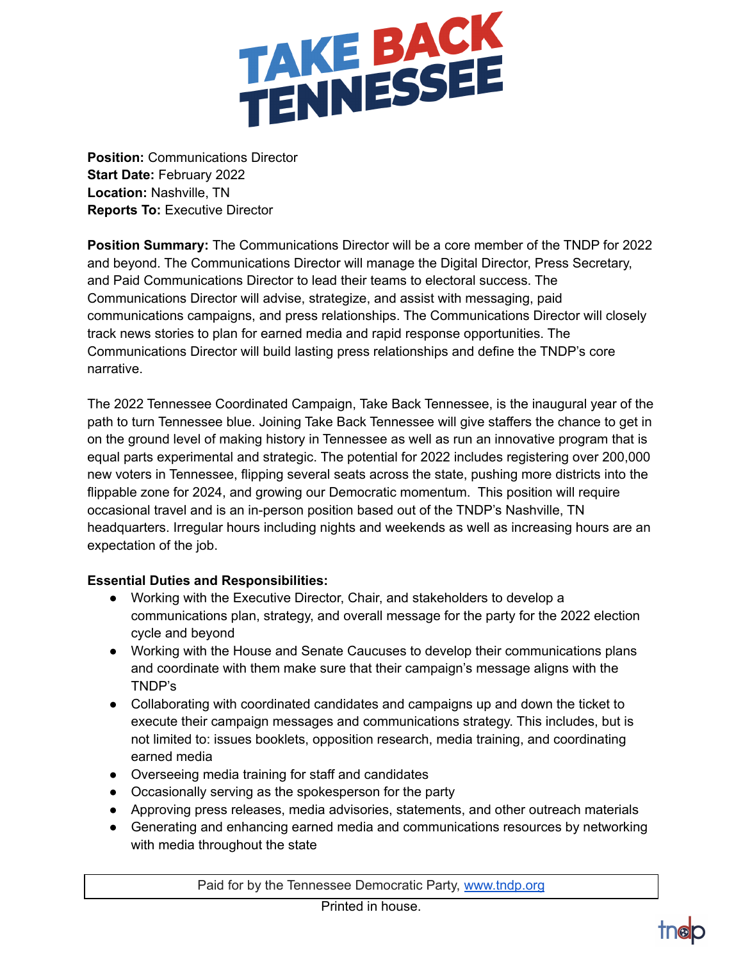

**Position:** Communications Director **Start Date:** February 2022 **Location:** Nashville, TN **Reports To:** Executive Director

**Position Summary:** The Communications Director will be a core member of the TNDP for 2022 and beyond. The Communications Director will manage the Digital Director, Press Secretary, and Paid Communications Director to lead their teams to electoral success. The Communications Director will advise, strategize, and assist with messaging, paid communications campaigns, and press relationships. The Communications Director will closely track news stories to plan for earned media and rapid response opportunities. The Communications Director will build lasting press relationships and define the TNDP's core narrative.

The 2022 Tennessee Coordinated Campaign, Take Back Tennessee, is the inaugural year of the path to turn Tennessee blue. Joining Take Back Tennessee will give staffers the chance to get in on the ground level of making history in Tennessee as well as run an innovative program that is equal parts experimental and strategic. The potential for 2022 includes registering over 200,000 new voters in Tennessee, flipping several seats across the state, pushing more districts into the flippable zone for 2024, and growing our Democratic momentum. This position will require occasional travel and is an in-person position based out of the TNDP's Nashville, TN headquarters. Irregular hours including nights and weekends as well as increasing hours are an expectation of the job.

## **Essential Duties and Responsibilities:**

- Working with the Executive Director, Chair, and stakeholders to develop a communications plan, strategy, and overall message for the party for the 2022 election cycle and beyond
- Working with the House and Senate Caucuses to develop their communications plans and coordinate with them make sure that their campaign's message aligns with the TNDP's
- Collaborating with coordinated candidates and campaigns up and down the ticket to execute their campaign messages and communications strategy. This includes, but is not limited to: issues booklets, opposition research, media training, and coordinating earned media
- Overseeing media training for staff and candidates
- Occasionally serving as the spokesperson for the party
- Approving press releases, media advisories, statements, and other outreach materials
- Generating and enhancing earned media and communications resources by networking with media throughout the state

Paid for by the Tennessee Democratic Party, [www.tndp.org](http://www.tndp.org/)

Printed in house.

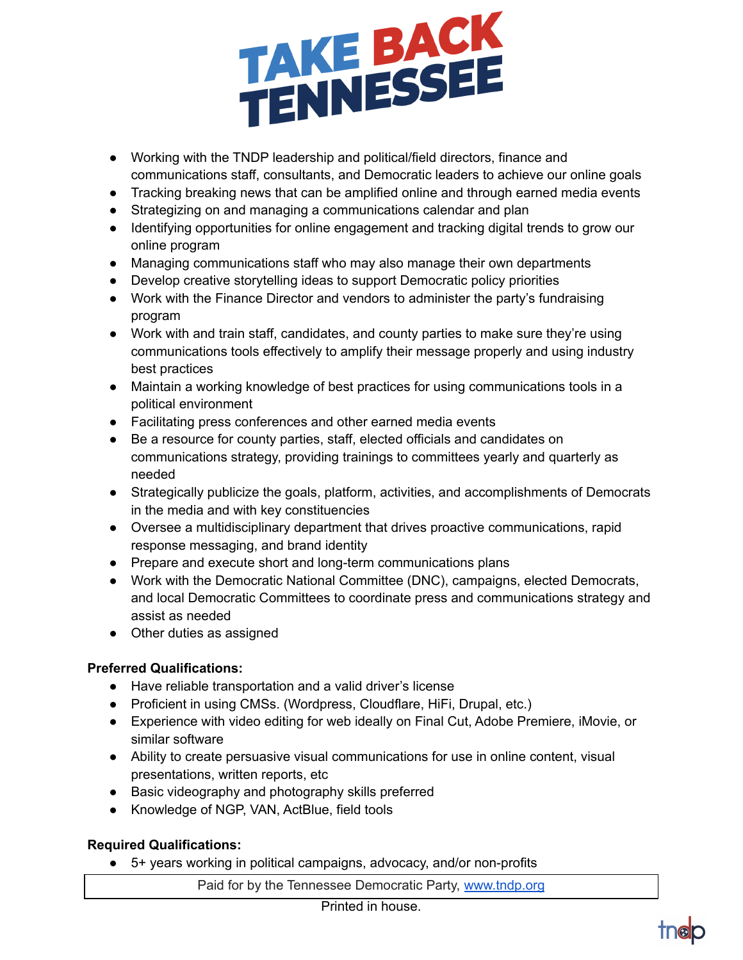

- Working with the TNDP leadership and political/field directors, finance and communications staff, consultants, and Democratic leaders to achieve our online goals
- Tracking breaking news that can be amplified online and through earned media events
- Strategizing on and managing a communications calendar and plan
- Identifying opportunities for online engagement and tracking digital trends to grow our online program
- Managing communications staff who may also manage their own departments
- Develop creative storytelling ideas to support Democratic policy priorities
- Work with the Finance Director and vendors to administer the party's fundraising program
- Work with and train staff, candidates, and county parties to make sure they're using communications tools effectively to amplify their message properly and using industry best practices
- Maintain a working knowledge of best practices for using communications tools in a political environment
- Facilitating press conferences and other earned media events
- Be a resource for county parties, staff, elected officials and candidates on communications strategy, providing trainings to committees yearly and quarterly as needed
- Strategically publicize the goals, platform, activities, and accomplishments of Democrats in the media and with key constituencies
- Oversee a multidisciplinary department that drives proactive communications, rapid response messaging, and brand identity
- Prepare and execute short and long-term communications plans
- Work with the Democratic National Committee (DNC), campaigns, elected Democrats, and local Democratic Committees to coordinate press and communications strategy and assist as needed
- Other duties as assigned

## **Preferred Qualifications:**

- Have reliable transportation and a valid driver's license
- Proficient in using CMSs. (Wordpress, Cloudflare, HiFi, Drupal, etc.)
- Experience with video editing for web ideally on Final Cut, Adobe Premiere, iMovie, or similar software
- Ability to create persuasive visual communications for use in online content, visual presentations, written reports, etc
- Basic videography and photography skills preferred
- Knowledge of NGP, VAN, ActBlue, field tools

## **Required Qualifications:**

● 5+ years working in political campaigns, advocacy, and/or non-profits

Paid for by the Tennessee Democratic Party, [www.tndp.org](http://www.tndp.org/)

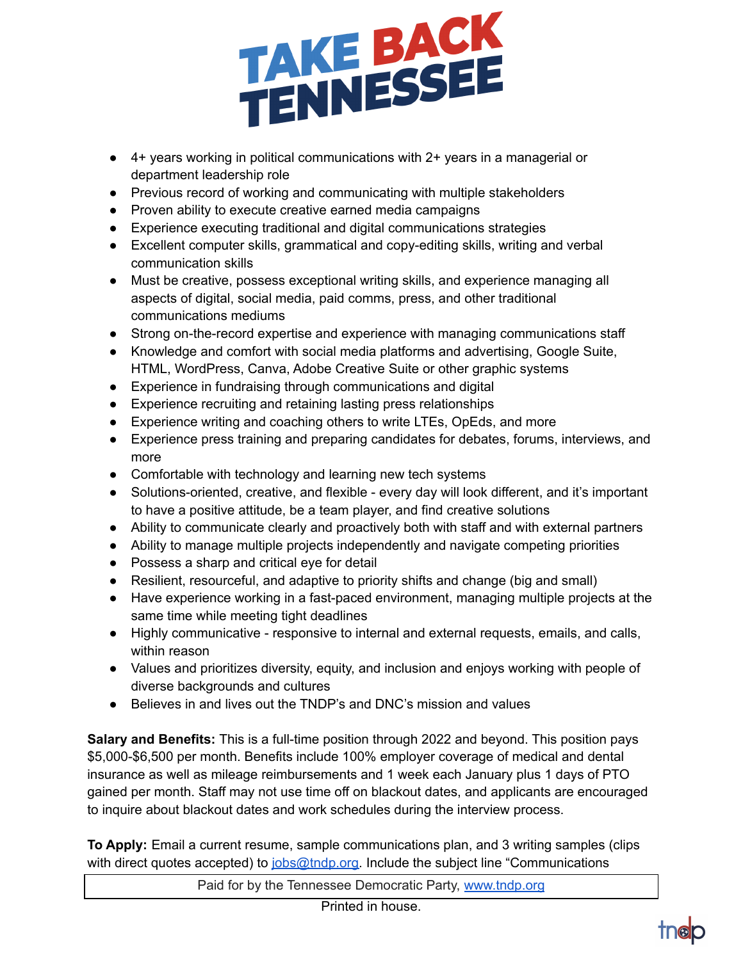

- 4+ years working in political communications with 2+ years in a managerial or department leadership role
- Previous record of working and communicating with multiple stakeholders
- Proven ability to execute creative earned media campaigns
- Experience executing traditional and digital communications strategies
- Excellent computer skills, grammatical and copy-editing skills, writing and verbal communication skills
- Must be creative, possess exceptional writing skills, and experience managing all aspects of digital, social media, paid comms, press, and other traditional communications mediums
- Strong on-the-record expertise and experience with managing communications staff
- Knowledge and comfort with social media platforms and advertising, Google Suite, HTML, WordPress, Canva, Adobe Creative Suite or other graphic systems
- Experience in fundraising through communications and digital
- Experience recruiting and retaining lasting press relationships
- Experience writing and coaching others to write LTEs, OpEds, and more
- Experience press training and preparing candidates for debates, forums, interviews, and more
- Comfortable with technology and learning new tech systems
- Solutions-oriented, creative, and flexible every day will look different, and it's important to have a positive attitude, be a team player, and find creative solutions
- Ability to communicate clearly and proactively both with staff and with external partners
- Ability to manage multiple projects independently and navigate competing priorities
- Possess a sharp and critical eye for detail
- Resilient, resourceful, and adaptive to priority shifts and change (big and small)
- Have experience working in a fast-paced environment, managing multiple projects at the same time while meeting tight deadlines
- Highly communicative responsive to internal and external requests, emails, and calls, within reason
- Values and prioritizes diversity, equity, and inclusion and enjoys working with people of diverse backgrounds and cultures
- Believes in and lives out the TNDP's and DNC's mission and values

**Salary and Benefits:** This is a full-time position through 2022 and beyond. This position pays \$5,000-\$6,500 per month. Benefits include 100% employer coverage of medical and dental insurance as well as mileage reimbursements and 1 week each January plus 1 days of PTO gained per month. Staff may not use time off on blackout dates, and applicants are encouraged to inquire about blackout dates and work schedules during the interview process.

**To Apply:** Email a current resume, sample communications plan, and 3 writing samples (clips with direct quotes accepted) to [jobs@tndp.org.](mailto:jobs@tndp.org) Include the subject line "Communications

Paid for by the Tennessee Democratic Party, [www.tndp.org](http://www.tndp.org/)